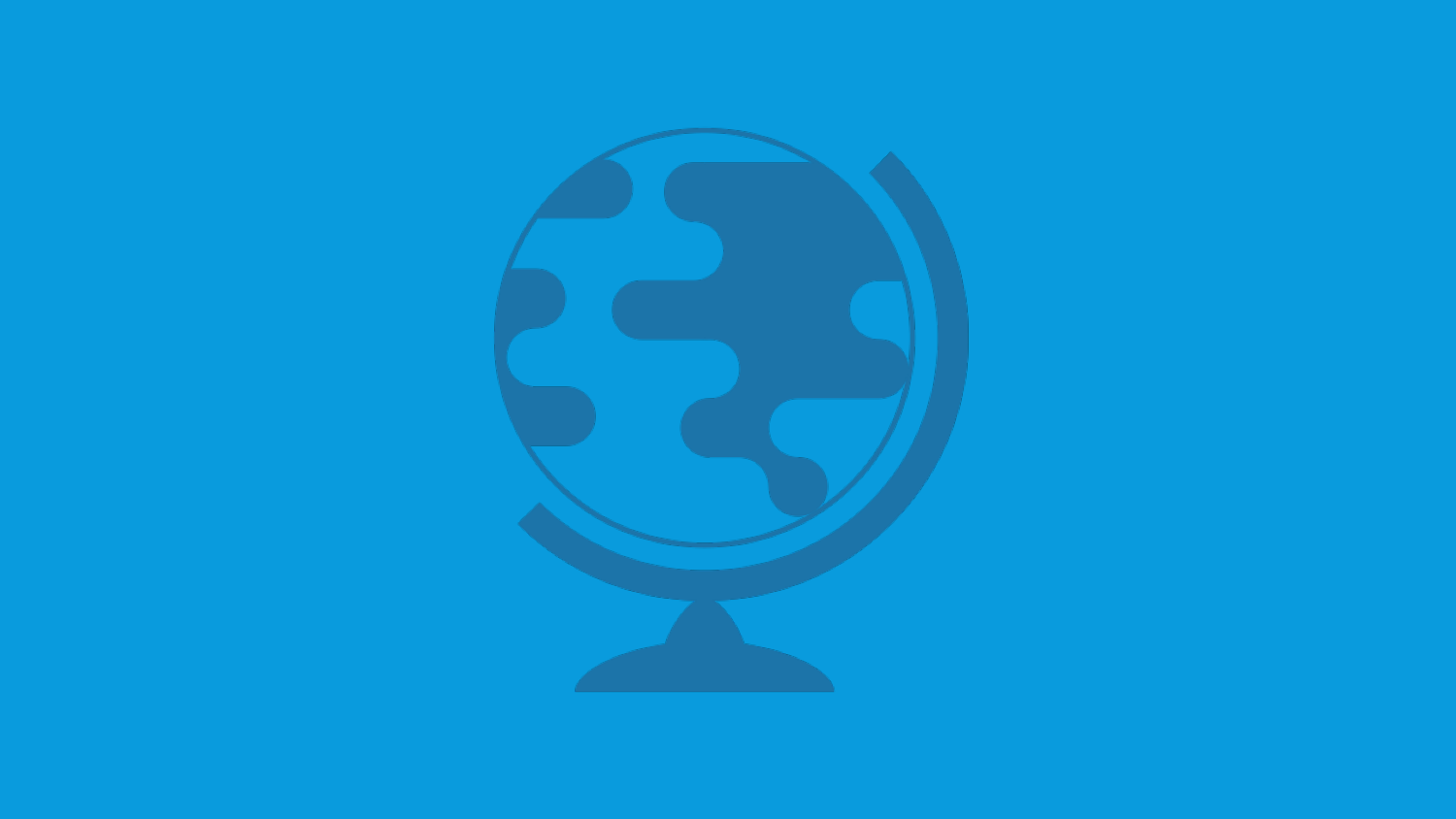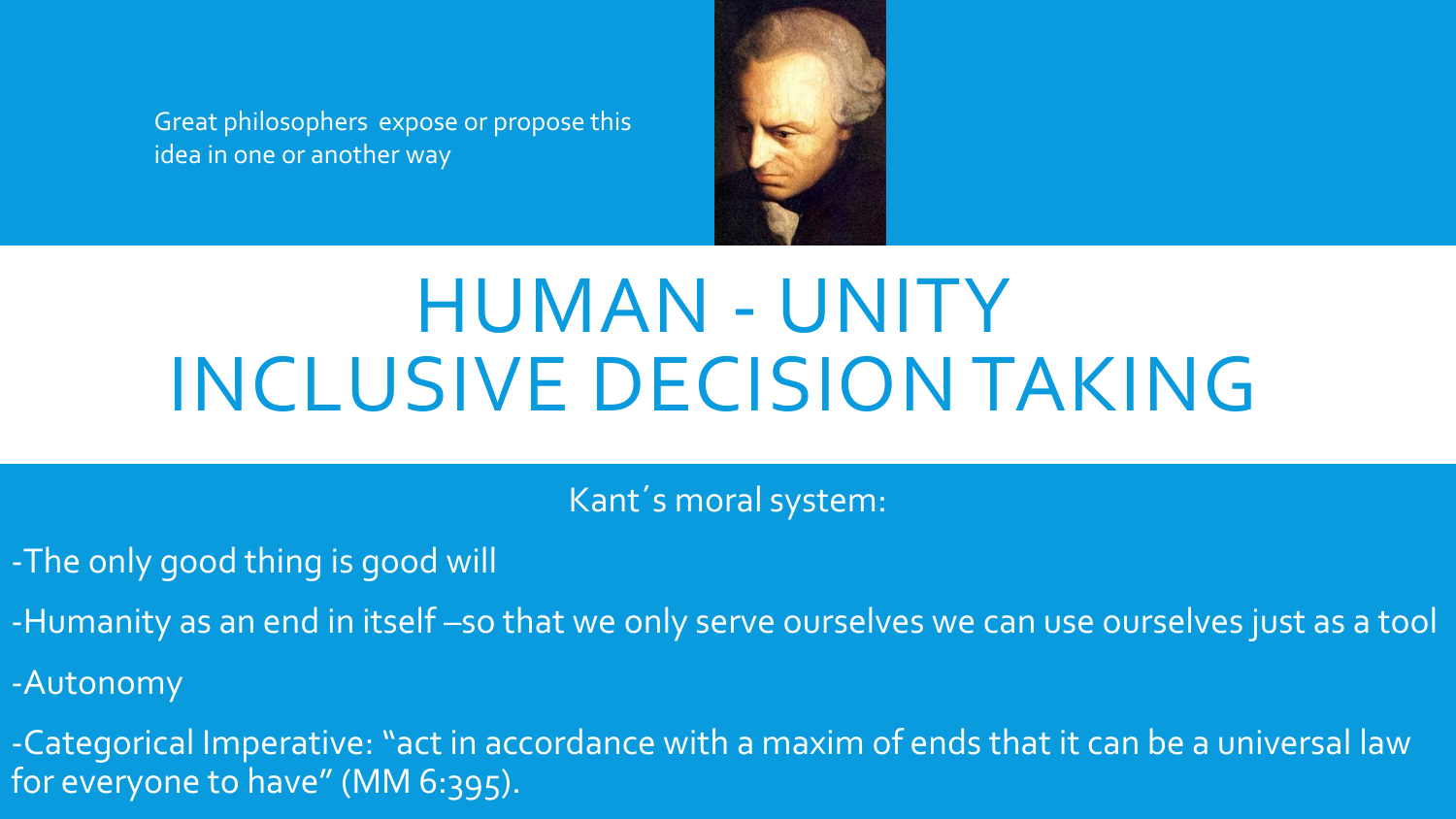Great philosophers expose or propose this idea in one or another way



#### HUMAN - UNITY INCLUSIVE DECISION TAKING

Kant´s moral system:

-The only good thing is good will

-Humanity as an end in itself –so that we only serve ourselves we can use ourselves just as a tool -Autonomy

-Categorical Imperative: "act in accordance with a maxim of ends that it can be a universal law for everyone to have" (MM 6:395).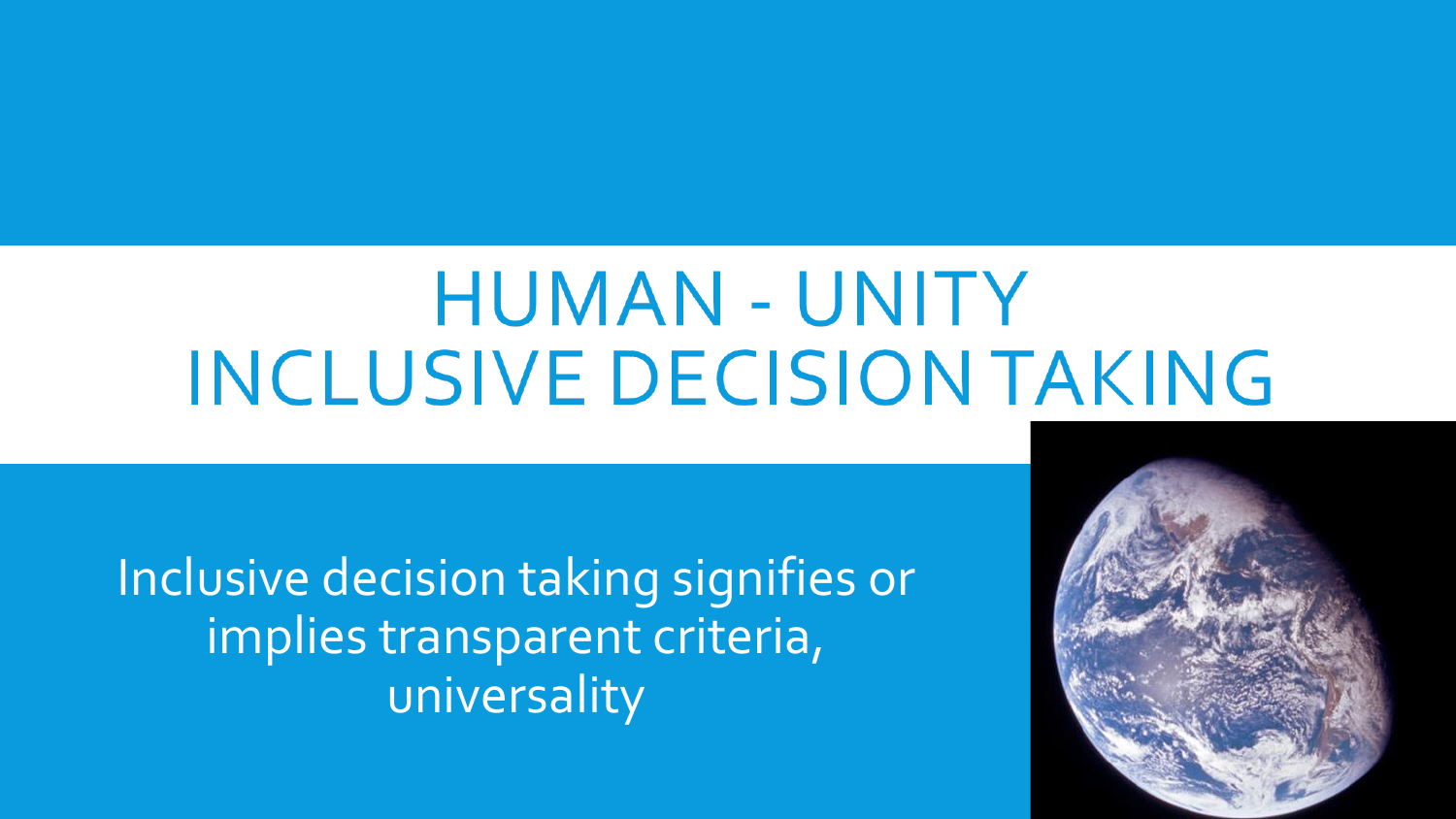#### **HUMAN - UNITY** INCLUSIVE DECISION TAKING

Inclusive decision taking signifies or implies transparent criteria, universality

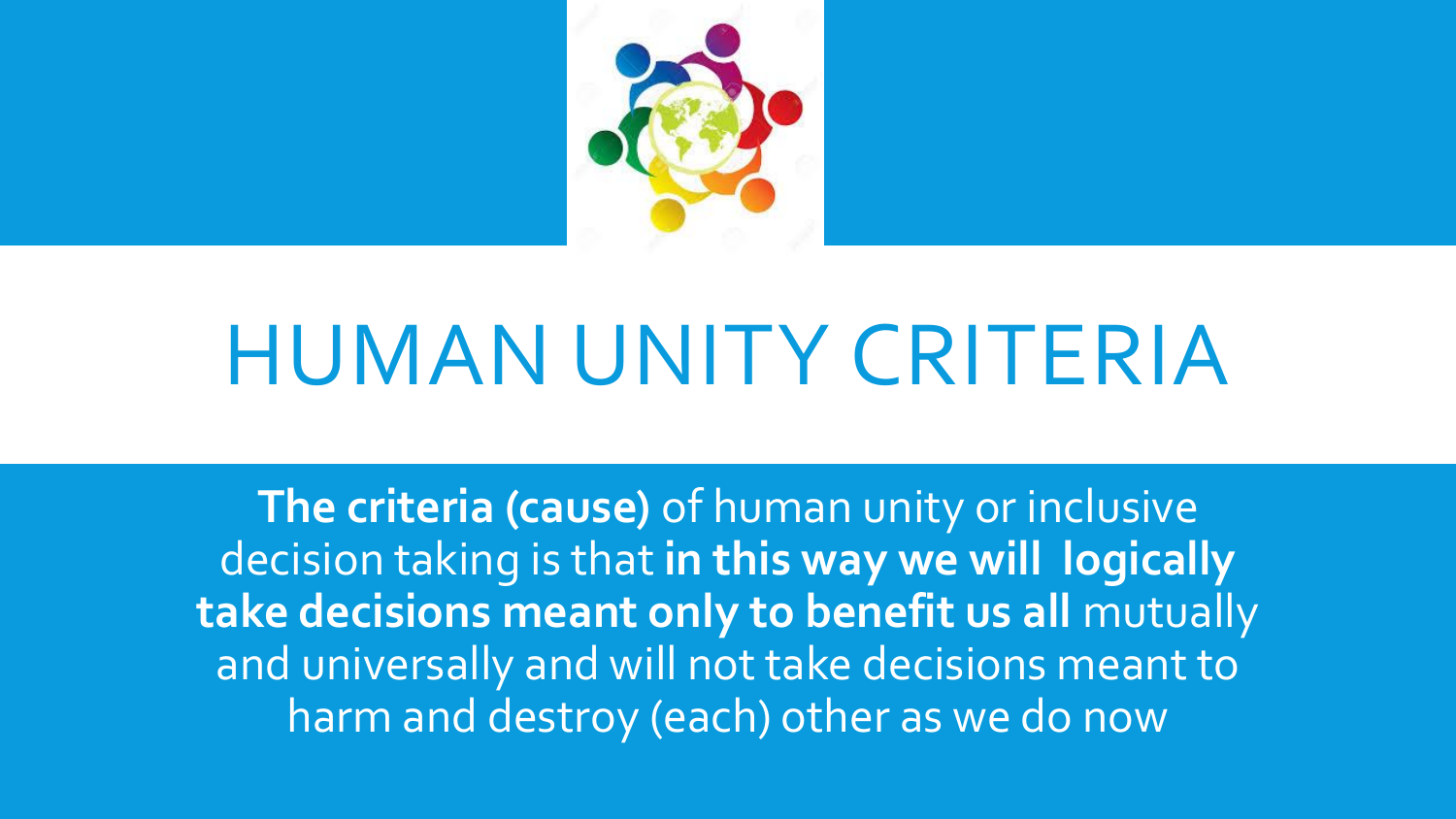

# HUMAN UNITY CRITERIA

**The criteria (cause)** of human unity or inclusive decision taking is that **in this way we will logically take decisions meant only to benefit us all** mutually and universally and will not take decisions meant to harm and destroy (each) other as we do now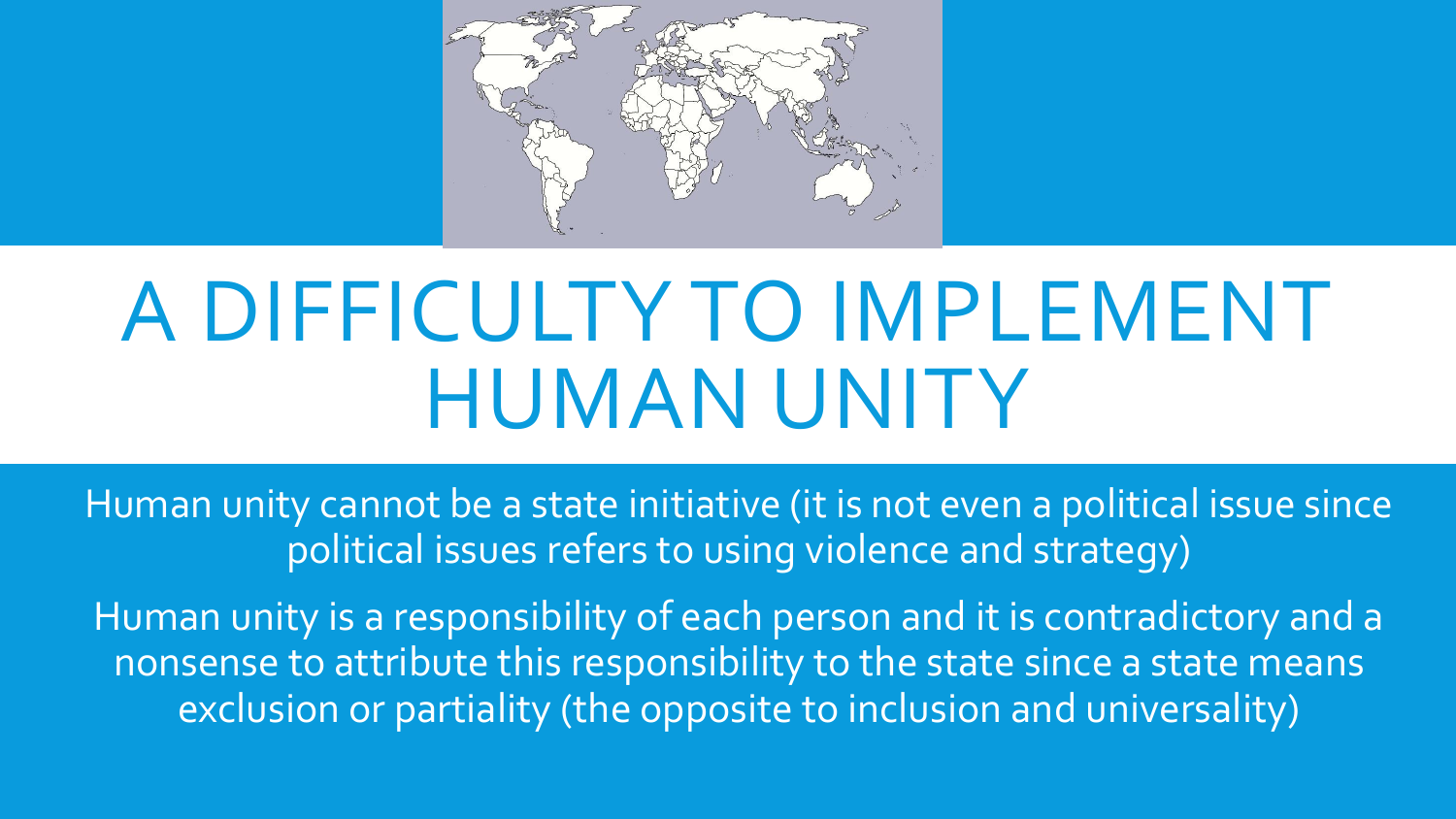

#### A DIFFICULTY TO IMPLEMENT HUMAN UNITY

Human unity cannot be a state initiative (it is not even a political issue since political issues refers to using violence and strategy)

Human unity is a responsibility of each person and it is contradictory and a nonsense to attribute this responsibility to the state since a state means exclusion or partiality (the opposite to inclusion and universality)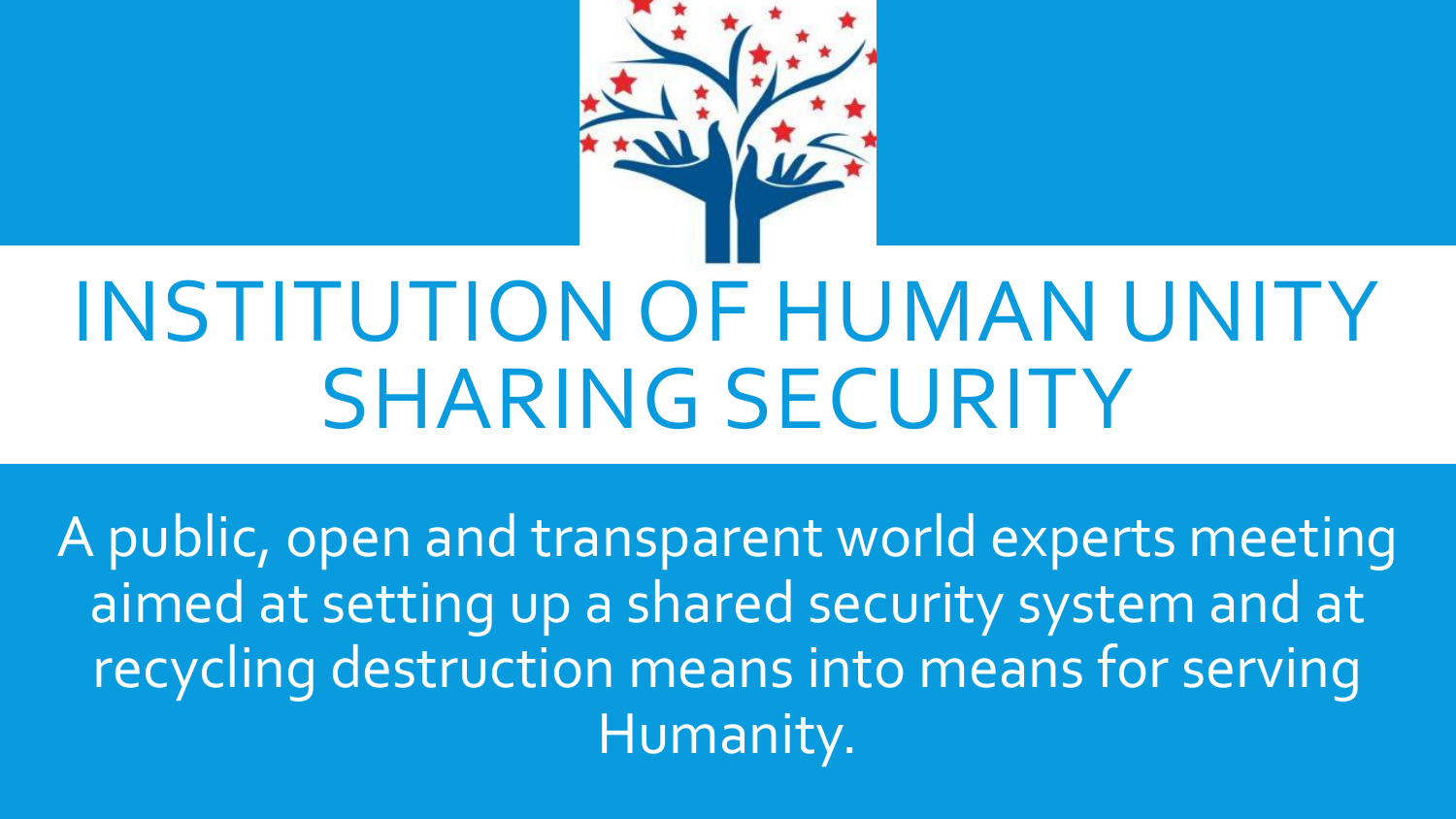

### INSTITUTION OF HUMAN UNITY SHARING SECURITY

A public, open and transparent world experts meeting aimed at setting up a shared security system and at recycling destruction means into means for serving Humanity.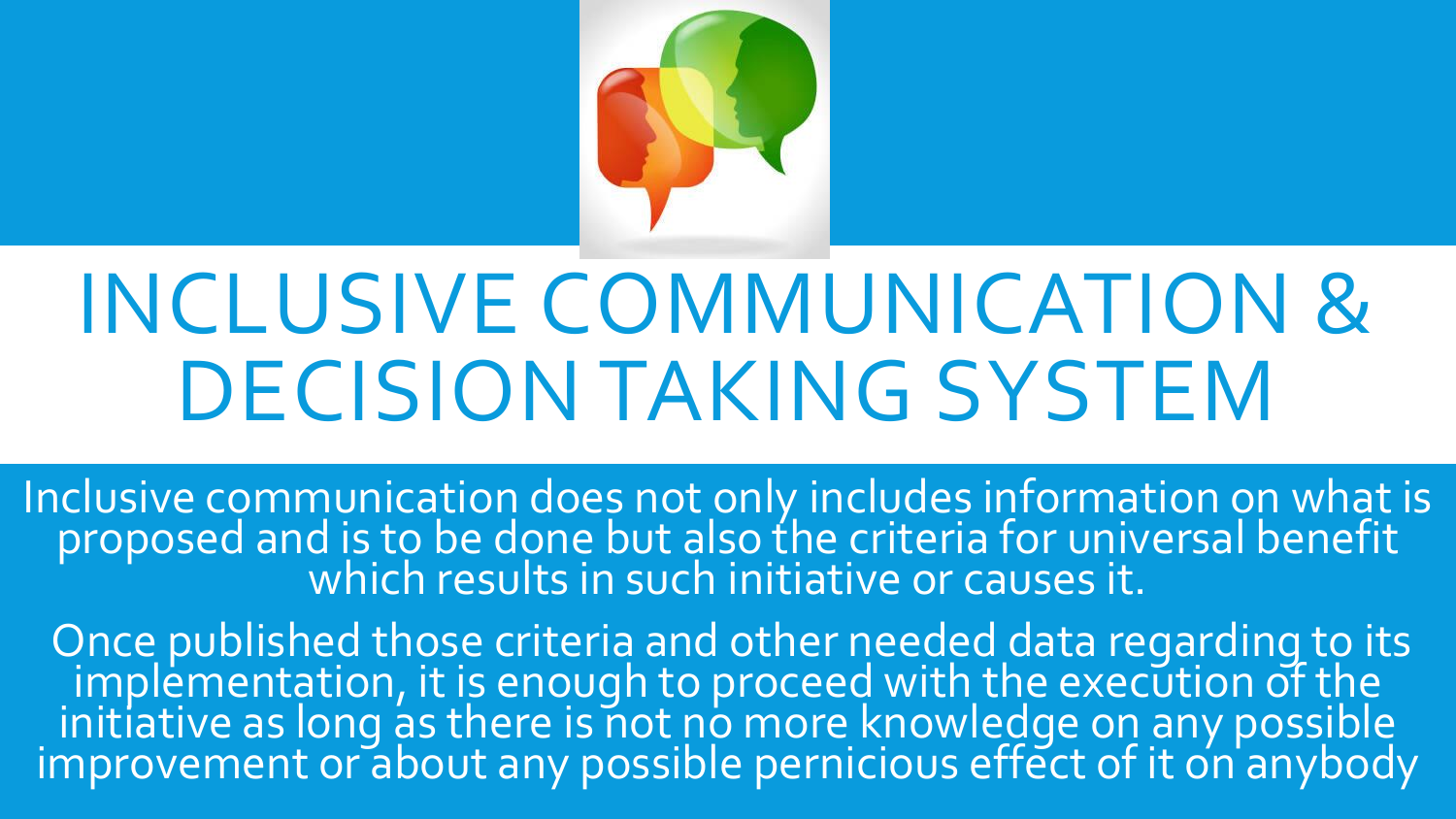

### INCLUSIVE COMMUNICATION & DECISION TAKING SYSTEM

Inclusive communication does not only includes information on what is proposed and is to be done but also the criteria for universal benefit which results in such initiative or causes it.

Once published those criteria and other needed data regarding to its implementation, it is enough to proceed with the execution of the initiative as long as there is not no more knowledge on any possible improvement or about any possible pernicious effect of it on anybody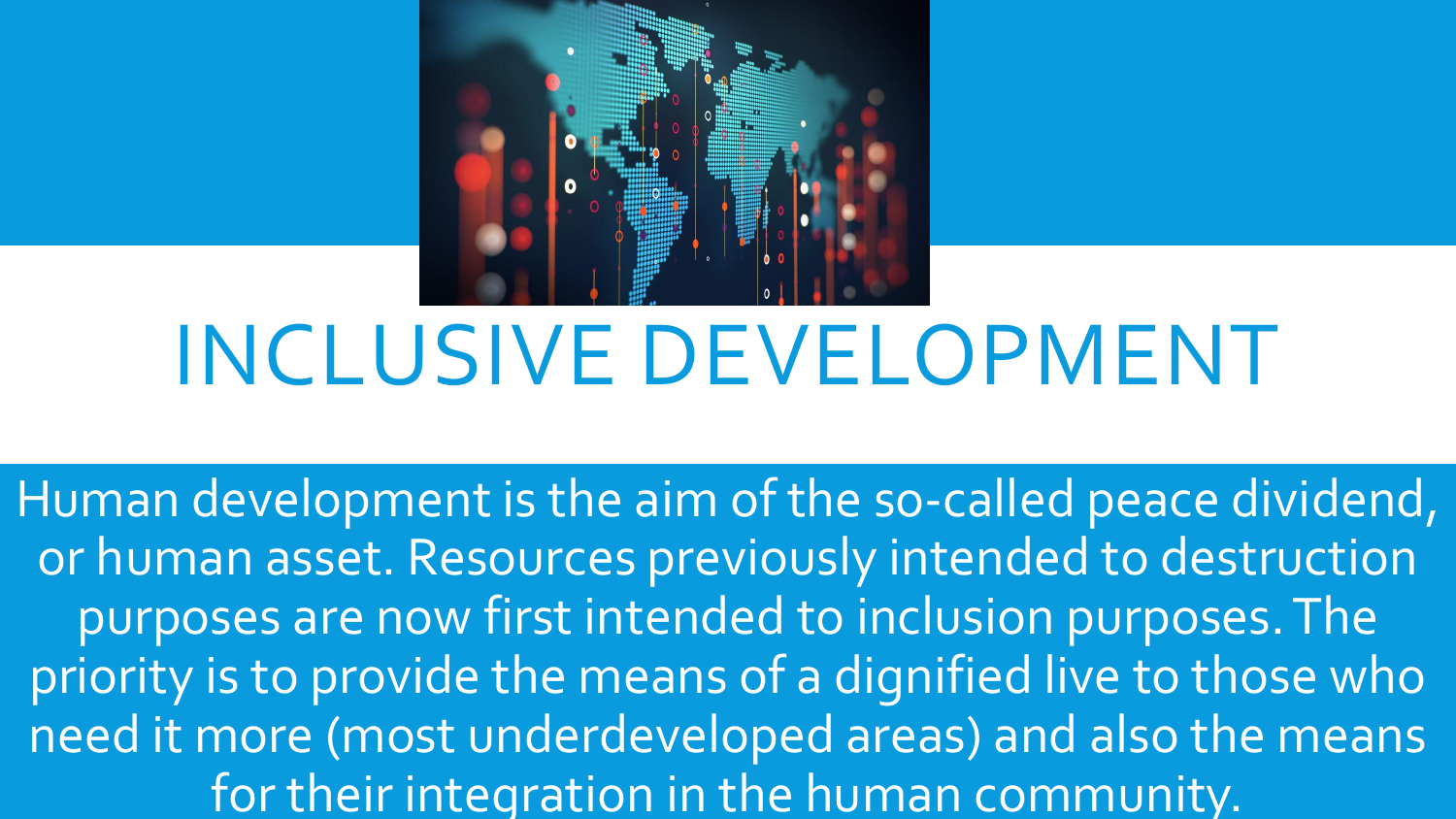

# INCLUSIVE DEVELOPMENT

Human development is the aim of the so-called peace dividend, or human asset. Resources previously intended to destruction purposes are now first intended to inclusion purposes. The priority is to provide the means of a dignified live to those who need it more (most underdeveloped areas) and also the means for their integration in the human community.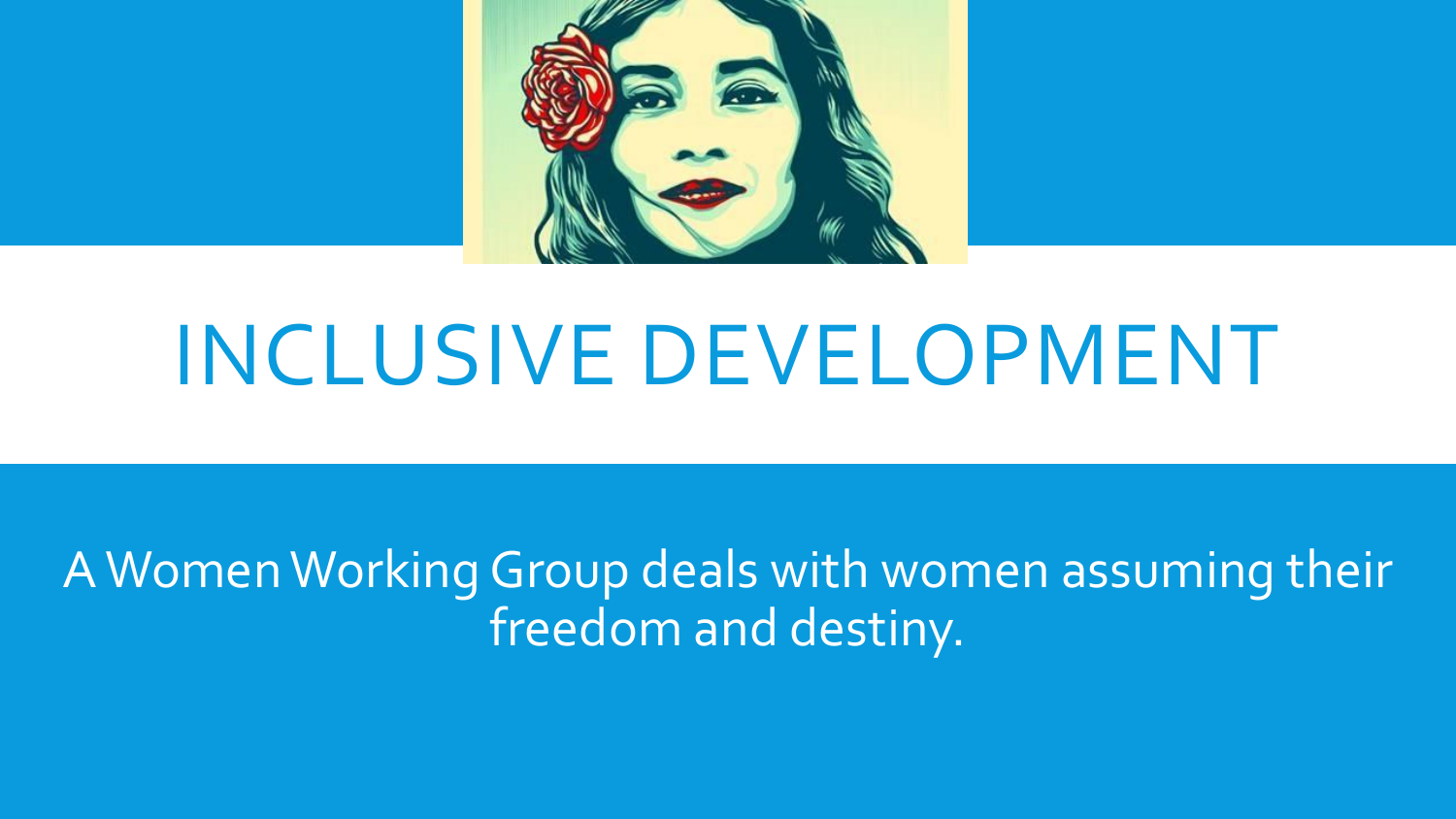

### INCLUSIVE DEVELOPMENT

A Women Working Group deals with women assuming their freedom and destiny.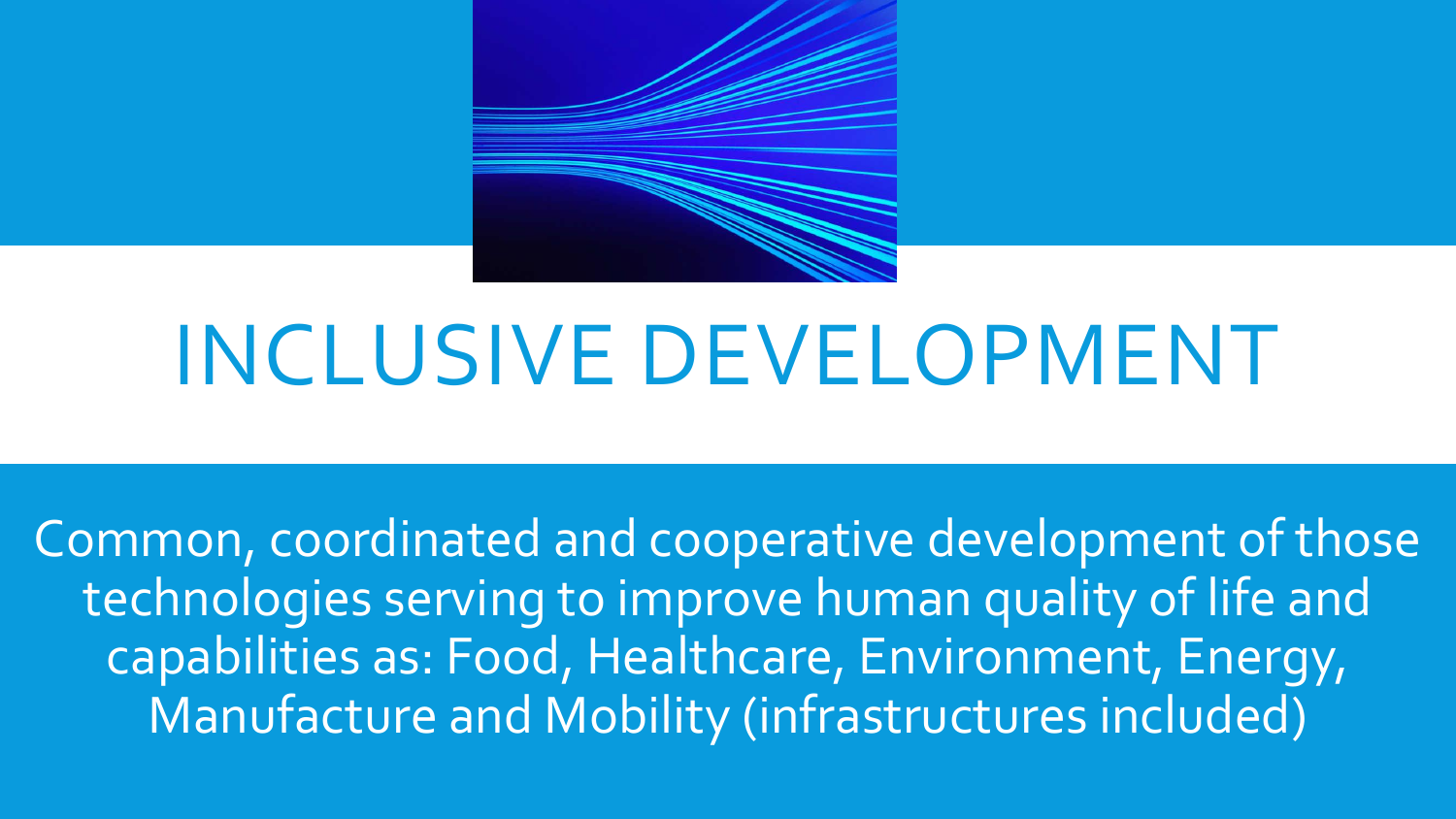

# INCLUSIVE DEVELOPMENT

Common, coordinated and cooperative development of those technologies serving to improve human quality of life and capabilities as: Food, Healthcare, Environment, Energy, Manufacture and Mobility (infrastructures included)